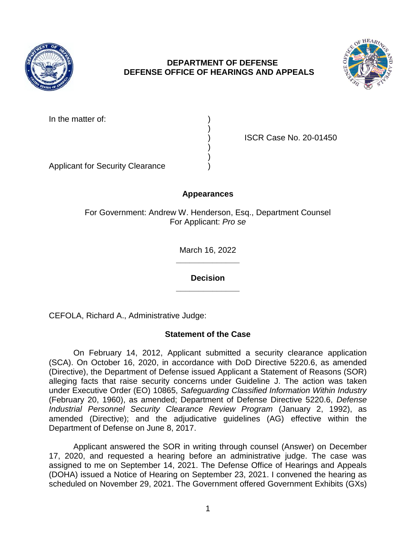

## **DEPARTMENT OF DEFENSE DEFENSE OFFICE OF HEARINGS AND APPEALS**



In the matter of:

) ISCR Case No. 20-01450

Applicant for Security Clearance )

# **Appearances**

)

) )

For Government: Andrew W. Henderson, Esq., Department Counsel For Applicant: *Pro se* 

> **\_\_\_\_\_\_\_\_\_\_\_\_\_\_**  March 16, 2022

> **\_\_\_\_\_\_\_\_\_\_\_\_\_\_ Decision**

CEFOLA, Richard A., Administrative Judge:

## **Statement of the Case**

 On February 14, 2012, Applicant submitted a security clearance application (SCA). On October 16, 2020, in accordance with DoD Directive 5220.6, as amended (Directive), the Department of Defense issued Applicant a Statement of Reasons (SOR) alleging facts that raise security concerns under Guideline J. The action was taken under Executive Order (EO) 10865, *Safeguarding Classified Information Within Industry*  (February 20, 1960), as amended; Department of Defense Directive 5220.6, *Defense Industrial Personnel Security Clearance Review Program* (January 2, 1992), as amended (Directive); and the adjudicative guidelines (AG) effective within the Department of Defense on June 8, 2017.

 Applicant answered the SOR in writing through counsel (Answer) on December 17, 2020, and requested a hearing before an administrative judge. The case was assigned to me on September 14, 2021. The Defense Office of Hearings and Appeals (DOHA) issued a Notice of Hearing on September 23, 2021. I convened the hearing as scheduled on November 29, 2021. The Government offered Government Exhibits (GXs)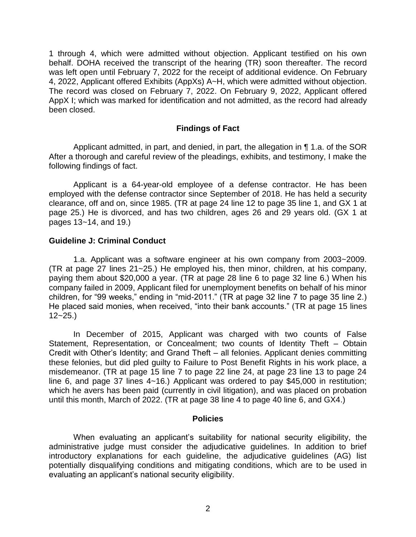1 through 4, which were admitted without objection. Applicant testified on his own behalf. DOHA received the transcript of the hearing (TR) soon thereafter. The record was left open until February 7, 2022 for the receipt of additional evidence. On February The record was closed on February 7, 2022. On February 9, 2022, Applicant offered AppX I; which was marked for identification and not admitted, as the record had already 4, 2022, Applicant offered Exhibits (AppXs) A~H, which were admitted without objection. been closed.

#### **Findings of Fact**

 After a thorough and careful review of the pleadings, exhibits, and testimony, I make the Applicant admitted, in part, and denied, in part, the allegation in ¶ 1.a. of the SOR following findings of fact.

 Applicant is a 64-year-old employee of a defense contractor. He has been employed with the defense contractor since September of 2018. He has held a security clearance, off and on, since 1985. (TR at page 24 line 12 to page 35 line 1, and GX 1 at page 25.) He is divorced, and has two children, ages 26 and 29 years old. (GX 1 at pages 13~14, and 19.)

#### **Guideline J: Criminal Conduct**

 1.a. Applicant was a software engineer at his own company from 2003~2009. (TR at page 27 lines 21~25.) He employed his, then minor, children, at his company, paying them about \$20,000 a year. (TR at page 28 line 6 to page 32 line 6.) When his company failed in 2009, Applicant filed for unemployment benefits on behalf of his minor children, for "99 weeks," ending in "mid-2011." (TR at page 32 line 7 to page 35 line 2.) He placed said monies, when received, "into their bank accounts." (TR at page 15 lines  $12 - 25.$ 

 In December of 2015, Applicant was charged with two counts of False Statement, Representation, or Concealment; two counts of Identity Theft – Obtain Credit with Other's Identity; and Grand Theft – all felonies. Applicant denies committing these felonies, but did pled guilty to Failure to Post Benefit Rights in his work place, a misdemeanor. (TR at page 15 line 7 to page 22 line 24, at page 23 line 13 to page 24 line 6, and page 37 lines 4~16.) Applicant was ordered to pay \$45,000 in restitution; which he avers has been paid (currently in civil litigation), and was placed on probation until this month, March of 2022. (TR at page 38 line 4 to page 40 line 6, and GX4.)

#### **Policies**

 When evaluating an applicant's suitability for national security eligibility, the administrative judge must consider the adjudicative guidelines. In addition to brief potentially disqualifying conditions and mitigating conditions, which are to be used in introductory explanations for each guideline, the adjudicative guidelines (AG) list evaluating an applicant's national security eligibility.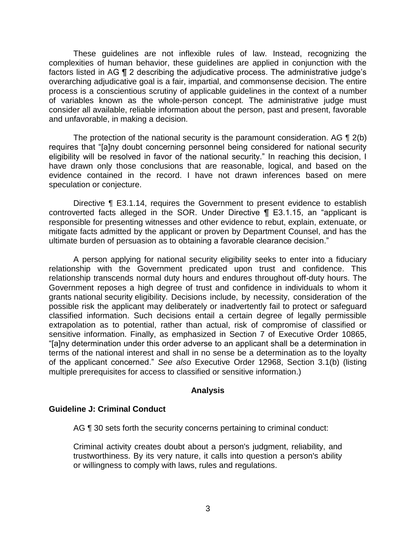These guidelines are not inflexible rules of law. Instead, recognizing the complexities of human behavior, these guidelines are applied in conjunction with the factors listed in AG ¶ 2 describing the adjudicative process. The administrative judge's overarching adjudicative goal is a fair, impartial, and commonsense decision. The entire process is a conscientious scrutiny of applicable guidelines in the context of a number of variables known as the whole-person concept. The administrative judge must consider all available, reliable information about the person, past and present, favorable and unfavorable, in making a decision.

The protection of the national security is the paramount consideration. AG  $\P$  2(b) eligibility will be resolved in favor of the national security." In reaching this decision, I have drawn only those conclusions that are reasonable, logical, and based on the evidence contained in the record. I have not drawn inferences based on mere requires that "[a]ny doubt concerning personnel being considered for national security speculation or conjecture.

 Directive ¶ E3.1.14, requires the Government to present evidence to establish controverted facts alleged in the SOR. Under Directive ¶ E3.1.15, an "applicant is responsible for presenting witnesses and other evidence to rebut, explain, extenuate, or mitigate facts admitted by the applicant or proven by Department Counsel, and has the ultimate burden of persuasion as to obtaining a favorable clearance decision."

 A person applying for national security eligibility seeks to enter into a fiduciary relationship with the Government predicated upon trust and confidence. This relationship transcends normal duty hours and endures throughout off-duty hours. The Government reposes a high degree of trust and confidence in individuals to whom it grants national security eligibility. Decisions include, by necessity, consideration of the possible risk the applicant may deliberately or inadvertently fail to protect or safeguard classified information. Such decisions entail a certain degree of legally permissible extrapolation as to potential, rather than actual, risk of compromise of classified or sensitive information. Finally, as emphasized in Section 7 of Executive Order 10865, "[a]ny determination under this order adverse to an applicant shall be a determination in terms of the national interest and shall in no sense be a determination as to the loyalty of the applicant concerned." *See also* Executive Order 12968, Section 3.1(b) (listing multiple prerequisites for access to classified or sensitive information.)

### **Analysis**

### **Guideline J: Criminal Conduct**

AG  $\P$  30 sets forth the security concerns pertaining to criminal conduct:

 Criminal activity creates doubt about a person's judgment, reliability, and trustworthiness. By its very nature, it calls into question a person's ability or willingness to comply with laws, rules and regulations.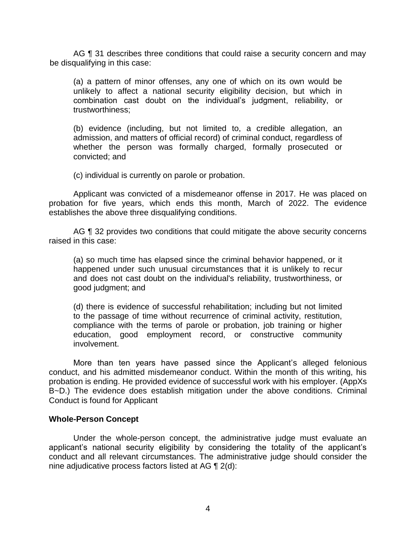AG ¶ 31 describes three conditions that could raise a security concern and may be disqualifying in this case:

 (a) a pattern of minor offenses, any one of which on its own would be unlikely to affect a national security eligibility decision, but which in combination cast doubt on the individual's judgment, reliability, or trustworthiness;

 (b) evidence (including, but not limited to, a credible allegation, an whether the person was formally charged, formally prosecuted or admission, and matters of official record) of criminal conduct, regardless of convicted; and

(c) individual is currently on parole or probation.

 Applicant was convicted of a misdemeanor offense in 2017. He was placed on probation for five years, which ends this month, March of 2022. The evidence establishes the above three disqualifying conditions.

AG ¶ 32 provides two conditions that could mitigate the above security concerns raised in this case:

 (a) so much time has elapsed since the criminal behavior happened, or it happened under such unusual circumstances that it is unlikely to recur and does not cast doubt on the individual's reliability, trustworthiness, or good judgment; and

 (d) there is evidence of successful rehabilitation; including but not limited to the passage of time without recurrence of criminal activity, restitution, compliance with the terms of parole or probation, job training or higher education, good employment record, or constructive community involvement.

 More than ten years have passed since the Applicant's alleged felonious conduct, and his admitted misdemeanor conduct. Within the month of this writing, his B~D.) The evidence does establish mitigation under the above conditions. Criminal probation is ending. He provided evidence of successful work with his employer. (AppXs Conduct is found for Applicant

#### **Whole-Person Concept**

Under the whole-person concept, the administrative judge must evaluate an applicant's national security eligibility by considering the totality of the applicant's conduct and all relevant circumstances. The administrative judge should consider the nine adjudicative process factors listed at AG ¶ 2(d):